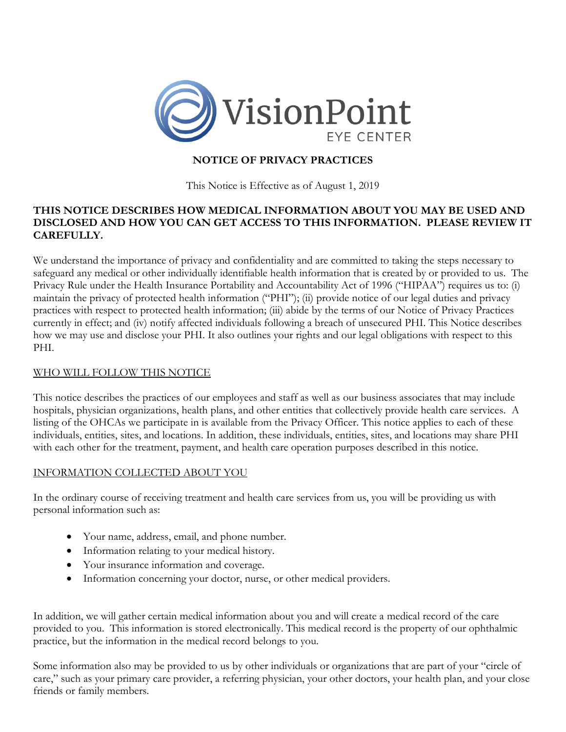

# **NOTICE OF PRIVACY PRACTICES**

This Notice is Effective as of August 1, 2019

## **THIS NOTICE DESCRIBES HOW MEDICAL INFORMATION ABOUT YOU MAY BE USED AND DISCLOSED AND HOW YOU CAN GET ACCESS TO THIS INFORMATION. PLEASE REVIEW IT CAREFULLY.**

We understand the importance of privacy and confidentiality and are committed to taking the steps necessary to safeguard any medical or other individually identifiable health information that is created by or provided to us. The Privacy Rule under the Health Insurance Portability and Accountability Act of 1996 ("HIPAA") requires us to: (i) maintain the privacy of protected health information ("PHI"); (ii) provide notice of our legal duties and privacy practices with respect to protected health information; (iii) abide by the terms of our Notice of Privacy Practices currently in effect; and (iv) notify affected individuals following a breach of unsecured PHI. This Notice describes how we may use and disclose your PHI. It also outlines your rights and our legal obligations with respect to this PHI.

# WHO WILL FOLLOW THIS NOTICE

This notice describes the practices of our employees and staff as well as our business associates that may include hospitals, physician organizations, health plans, and other entities that collectively provide health care services. A listing of the OHCAs we participate in is available from the Privacy Officer. This notice applies to each of these individuals, entities, sites, and locations. In addition, these individuals, entities, sites, and locations may share PHI with each other for the treatment, payment, and health care operation purposes described in this notice.

# INFORMATION COLLECTED ABOUT YOU

In the ordinary course of receiving treatment and health care services from us, you will be providing us with personal information such as:

- Your name, address, email, and phone number.
- Information relating to your medical history.
- Your insurance information and coverage.
- Information concerning your doctor, nurse, or other medical providers.

In addition, we will gather certain medical information about you and will create a medical record of the care provided to you. This information is stored electronically. This medical record is the property of our ophthalmic practice, but the information in the medical record belongs to you.

Some information also may be provided to us by other individuals or organizations that are part of your "circle of care," such as your primary care provider, a referring physician, your other doctors, your health plan, and your close friends or family members.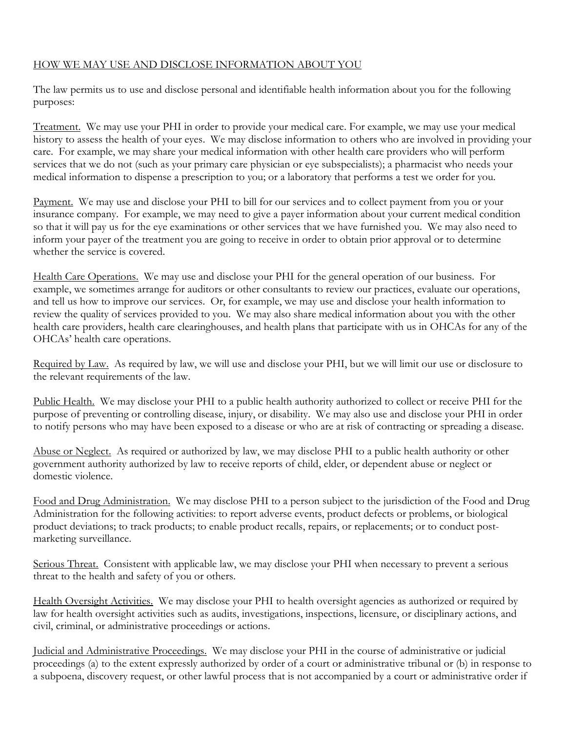# HOW WE MAY USE AND DISCLOSE INFORMATION ABOUT YOU

The law permits us to use and disclose personal and identifiable health information about you for the following purposes:

Treatment. We may use your PHI in order to provide your medical care. For example, we may use your medical history to assess the health of your eyes. We may disclose information to others who are involved in providing your care. For example, we may share your medical information with other health care providers who will perform services that we do not (such as your primary care physician or eye subspecialists); a pharmacist who needs your medical information to dispense a prescription to you; or a laboratory that performs a test we order for you.

Payment. We may use and disclose your PHI to bill for our services and to collect payment from you or your insurance company. For example, we may need to give a payer information about your current medical condition so that it will pay us for the eye examinations or other services that we have furnished you. We may also need to inform your payer of the treatment you are going to receive in order to obtain prior approval or to determine whether the service is covered.

Health Care Operations. We may use and disclose your PHI for the general operation of our business. For example, we sometimes arrange for auditors or other consultants to review our practices, evaluate our operations, and tell us how to improve our services. Or, for example, we may use and disclose your health information to review the quality of services provided to you. We may also share medical information about you with the other health care providers, health care clearinghouses, and health plans that participate with us in OHCAs for any of the OHCAs' health care operations.

Required by Law. As required by law, we will use and disclose your PHI, but we will limit our use or disclosure to the relevant requirements of the law.

Public Health. We may disclose your PHI to a public health authority authorized to collect or receive PHI for the purpose of preventing or controlling disease, injury, or disability. We may also use and disclose your PHI in order to notify persons who may have been exposed to a disease or who are at risk of contracting or spreading a disease.

Abuse or Neglect. As required or authorized by law, we may disclose PHI to a public health authority or other government authority authorized by law to receive reports of child, elder, or dependent abuse or neglect or domestic violence.

Food and Drug Administration. We may disclose PHI to a person subject to the jurisdiction of the Food and Drug Administration for the following activities: to report adverse events, product defects or problems, or biological product deviations; to track products; to enable product recalls, repairs, or replacements; or to conduct postmarketing surveillance.

Serious Threat. Consistent with applicable law, we may disclose your PHI when necessary to prevent a serious threat to the health and safety of you or others.

Health Oversight Activities. We may disclose your PHI to health oversight agencies as authorized or required by law for health oversight activities such as audits, investigations, inspections, licensure, or disciplinary actions, and civil, criminal, or administrative proceedings or actions.

Judicial and Administrative Proceedings. We may disclose your PHI in the course of administrative or judicial proceedings (a) to the extent expressly authorized by order of a court or administrative tribunal or (b) in response to a subpoena, discovery request, or other lawful process that is not accompanied by a court or administrative order if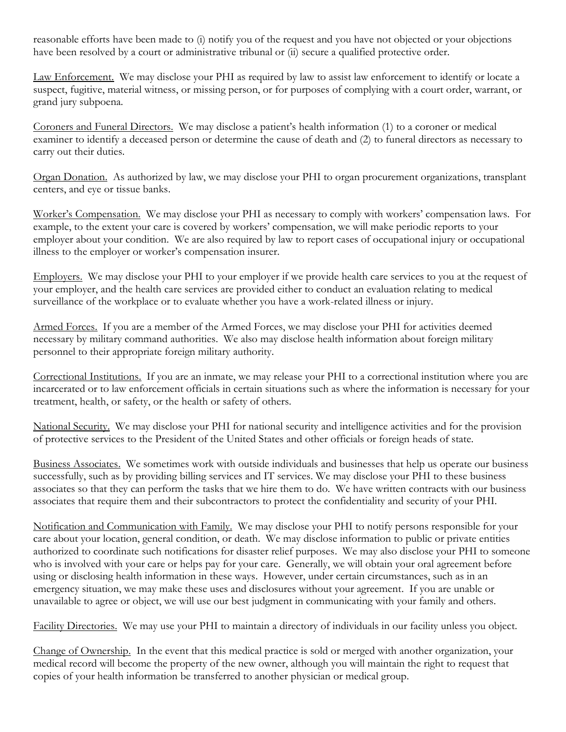reasonable efforts have been made to (i) notify you of the request and you have not objected or your objections have been resolved by a court or administrative tribunal or (ii) secure a qualified protective order.

Law Enforcement. We may disclose your PHI as required by law to assist law enforcement to identify or locate a suspect, fugitive, material witness, or missing person, or for purposes of complying with a court order, warrant, or grand jury subpoena.

Coroners and Funeral Directors. We may disclose a patient's health information (1) to a coroner or medical examiner to identify a deceased person or determine the cause of death and (2) to funeral directors as necessary to carry out their duties.

Organ Donation. As authorized by law, we may disclose your PHI to organ procurement organizations, transplant centers, and eye or tissue banks.

Worker's Compensation. We may disclose your PHI as necessary to comply with workers' compensation laws. For example, to the extent your care is covered by workers' compensation, we will make periodic reports to your employer about your condition. We are also required by law to report cases of occupational injury or occupational illness to the employer or worker's compensation insurer.

Employers. We may disclose your PHI to your employer if we provide health care services to you at the request of your employer, and the health care services are provided either to conduct an evaluation relating to medical surveillance of the workplace or to evaluate whether you have a work-related illness or injury.

Armed Forces. If you are a member of the Armed Forces, we may disclose your PHI for activities deemed necessary by military command authorities. We also may disclose health information about foreign military personnel to their appropriate foreign military authority.

Correctional Institutions. If you are an inmate, we may release your PHI to a correctional institution where you are incarcerated or to law enforcement officials in certain situations such as where the information is necessary for your treatment, health, or safety, or the health or safety of others.

National Security. We may disclose your PHI for national security and intelligence activities and for the provision of protective services to the President of the United States and other officials or foreign heads of state.

Business Associates. We sometimes work with outside individuals and businesses that help us operate our business successfully, such as by providing billing services and IT services. We may disclose your PHI to these business associates so that they can perform the tasks that we hire them to do. We have written contracts with our business associates that require them and their subcontractors to protect the confidentiality and security of your PHI.

Notification and Communication with Family. We may disclose your PHI to notify persons responsible for your care about your location, general condition, or death. We may disclose information to public or private entities authorized to coordinate such notifications for disaster relief purposes. We may also disclose your PHI to someone who is involved with your care or helps pay for your care. Generally, we will obtain your oral agreement before using or disclosing health information in these ways. However, under certain circumstances, such as in an emergency situation, we may make these uses and disclosures without your agreement. If you are unable or unavailable to agree or object, we will use our best judgment in communicating with your family and others.

Facility Directories. We may use your PHI to maintain a directory of individuals in our facility unless you object.

Change of Ownership. In the event that this medical practice is sold or merged with another organization, your medical record will become the property of the new owner, although you will maintain the right to request that copies of your health information be transferred to another physician or medical group.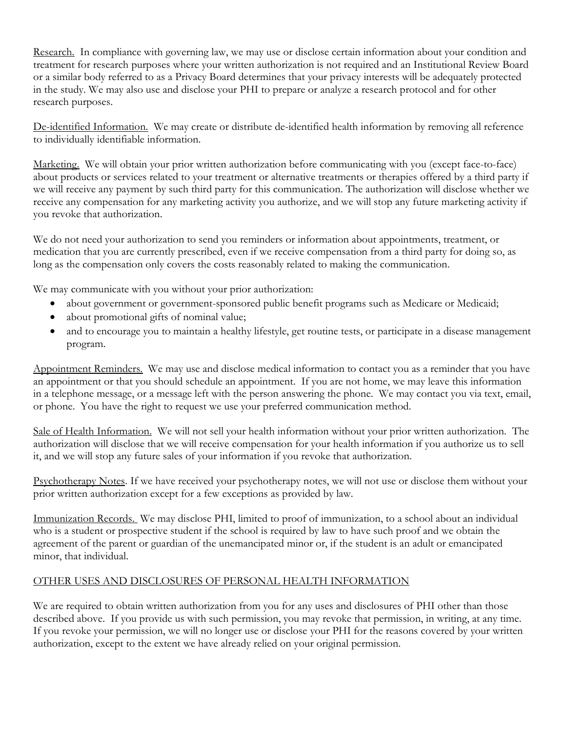Research. In compliance with governing law, we may use or disclose certain information about your condition and treatment for research purposes where your written authorization is not required and an Institutional Review Board or a similar body referred to as a Privacy Board determines that your privacy interests will be adequately protected in the study. We may also use and disclose your PHI to prepare or analyze a research protocol and for other research purposes.

De-identified Information. We may create or distribute de-identified health information by removing all reference to individually identifiable information.

Marketing. We will obtain your prior written authorization before communicating with you (except face-to-face) about products or services related to your treatment or alternative treatments or therapies offered by a third party if we will receive any payment by such third party for this communication. The authorization will disclose whether we receive any compensation for any marketing activity you authorize, and we will stop any future marketing activity if you revoke that authorization.

We do not need your authorization to send you reminders or information about appointments, treatment, or medication that you are currently prescribed, even if we receive compensation from a third party for doing so, as long as the compensation only covers the costs reasonably related to making the communication.

We may communicate with you without your prior authorization:

- about government or government-sponsored public benefit programs such as Medicare or Medicaid;
- about promotional gifts of nominal value;
- and to encourage you to maintain a healthy lifestyle, get routine tests, or participate in a disease management program.

Appointment Reminders. We may use and disclose medical information to contact you as a reminder that you have an appointment or that you should schedule an appointment. If you are not home, we may leave this information in a telephone message, or a message left with the person answering the phone. We may contact you via text, email, or phone. You have the right to request we use your preferred communication method.

Sale of Health Information. We will not sell your health information without your prior written authorization. The authorization will disclose that we will receive compensation for your health information if you authorize us to sell it, and we will stop any future sales of your information if you revoke that authorization.

Psychotherapy Notes. If we have received your psychotherapy notes, we will not use or disclose them without your prior written authorization except for a few exceptions as provided by law.

Immunization Records. We may disclose PHI, limited to proof of immunization, to a school about an individual who is a student or prospective student if the school is required by law to have such proof and we obtain the agreement of the parent or guardian of the unemancipated minor or, if the student is an adult or emancipated minor, that individual.

# OTHER USES AND DISCLOSURES OF PERSONAL HEALTH INFORMATION

We are required to obtain written authorization from you for any uses and disclosures of PHI other than those described above. If you provide us with such permission, you may revoke that permission, in writing, at any time. If you revoke your permission, we will no longer use or disclose your PHI for the reasons covered by your written authorization, except to the extent we have already relied on your original permission.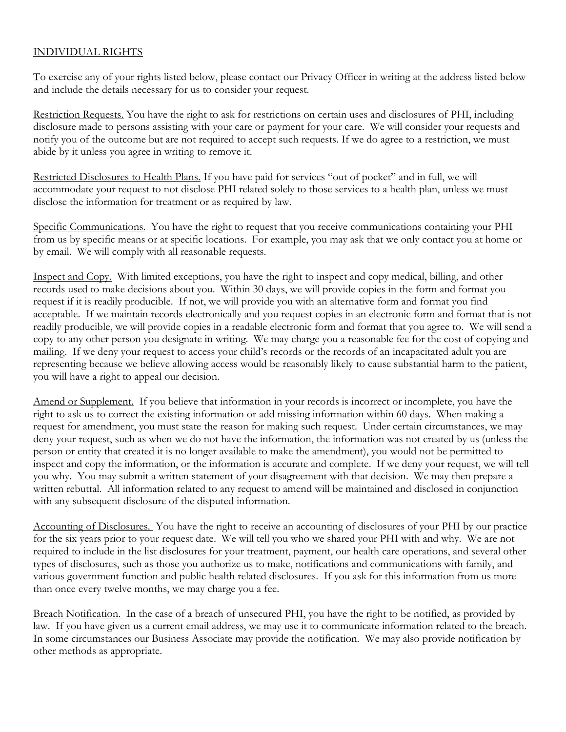## INDIVIDUAL RIGHTS

To exercise any of your rights listed below, please contact our Privacy Officer in writing at the address listed below and include the details necessary for us to consider your request.

Restriction Requests. You have the right to ask for restrictions on certain uses and disclosures of PHI, including disclosure made to persons assisting with your care or payment for your care. We will consider your requests and notify you of the outcome but are not required to accept such requests. If we do agree to a restriction, we must abide by it unless you agree in writing to remove it.

Restricted Disclosures to Health Plans. If you have paid for services "out of pocket" and in full, we will accommodate your request to not disclose PHI related solely to those services to a health plan, unless we must disclose the information for treatment or as required by law.

Specific Communications. You have the right to request that you receive communications containing your PHI from us by specific means or at specific locations. For example, you may ask that we only contact you at home or by email. We will comply with all reasonable requests.

Inspect and Copy. With limited exceptions, you have the right to inspect and copy medical, billing, and other records used to make decisions about you. Within 30 days, we will provide copies in the form and format you request if it is readily producible. If not, we will provide you with an alternative form and format you find acceptable. If we maintain records electronically and you request copies in an electronic form and format that is not readily producible, we will provide copies in a readable electronic form and format that you agree to. We will send a copy to any other person you designate in writing. We may charge you a reasonable fee for the cost of copying and mailing. If we deny your request to access your child's records or the records of an incapacitated adult you are representing because we believe allowing access would be reasonably likely to cause substantial harm to the patient, you will have a right to appeal our decision.

Amend or Supplement. If you believe that information in your records is incorrect or incomplete, you have the right to ask us to correct the existing information or add missing information within 60 days. When making a request for amendment, you must state the reason for making such request. Under certain circumstances, we may deny your request, such as when we do not have the information, the information was not created by us (unless the person or entity that created it is no longer available to make the amendment), you would not be permitted to inspect and copy the information, or the information is accurate and complete. If we deny your request, we will tell you why. You may submit a written statement of your disagreement with that decision. We may then prepare a written rebuttal. All information related to any request to amend will be maintained and disclosed in conjunction with any subsequent disclosure of the disputed information.

Accounting of Disclosures. You have the right to receive an accounting of disclosures of your PHI by our practice for the six years prior to your request date. We will tell you who we shared your PHI with and why. We are not required to include in the list disclosures for your treatment, payment, our health care operations, and several other types of disclosures, such as those you authorize us to make, notifications and communications with family, and various government function and public health related disclosures. If you ask for this information from us more than once every twelve months, we may charge you a fee.

Breach Notification. In the case of a breach of unsecured PHI, you have the right to be notified, as provided by law. If you have given us a current email address, we may use it to communicate information related to the breach. In some circumstances our Business Associate may provide the notification. We may also provide notification by other methods as appropriate.